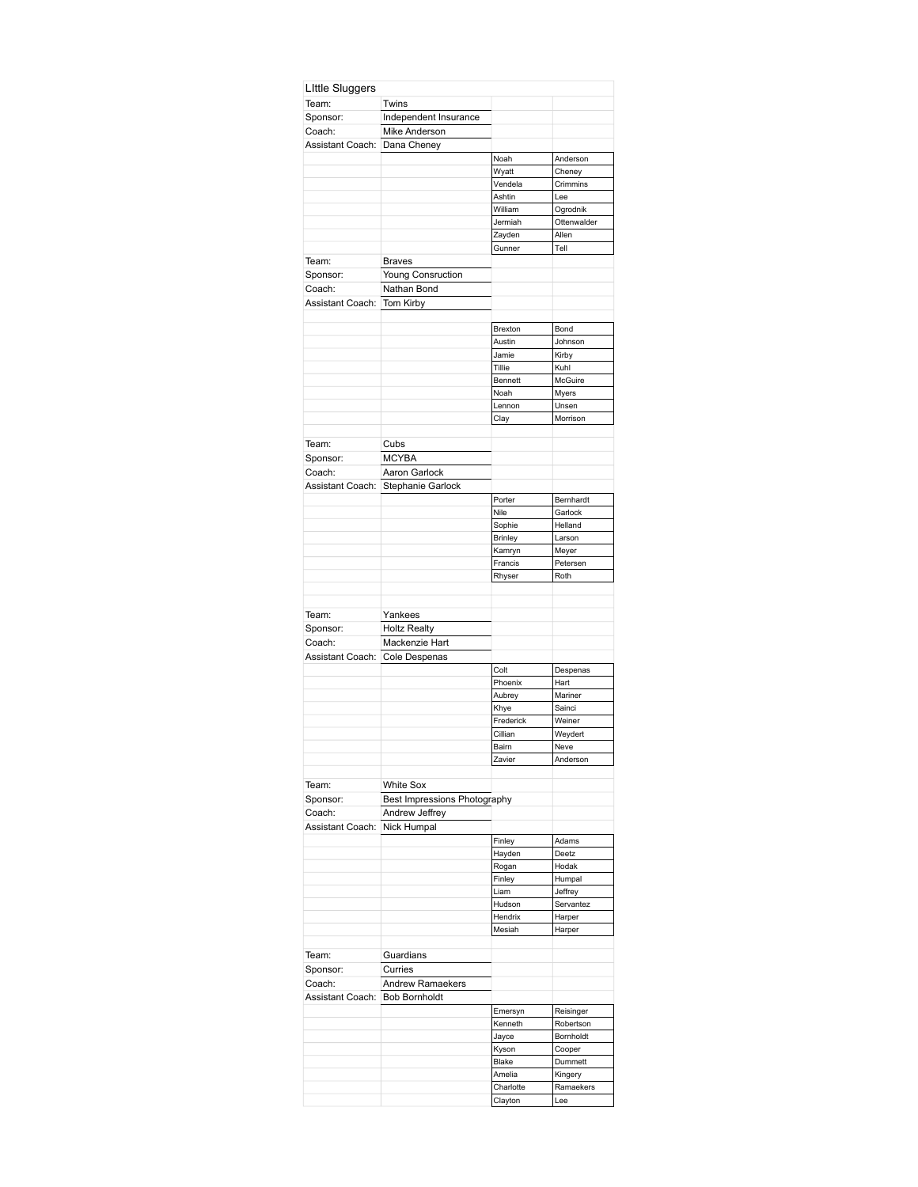| Team:                        | Twins                        |                      |                  |
|------------------------------|------------------------------|----------------------|------------------|
| Sponsor:                     | Independent Insurance        |                      |                  |
| Coach:                       | Mike Anderson                |                      |                  |
| Assistant Coach:             | Dana Cheney                  |                      |                  |
|                              |                              | Noah                 | Anderson         |
|                              |                              | Wyatt                | Cheney           |
|                              |                              | Vendela              | Crimmins         |
|                              |                              | Ashtin               | Lee              |
|                              |                              | William              | Ogrodnik         |
|                              |                              | Jermiah              | Ottenwalder      |
|                              |                              | Zayden               | Allen            |
|                              |                              | Gunner               | Tell             |
| Team:                        | <b>Braves</b>                |                      |                  |
| Sponsor:                     | <b>Young Consruction</b>     |                      |                  |
| Coach:                       | Nathan Bond                  |                      |                  |
| Assistant Coach:             | Tom Kirby                    |                      |                  |
|                              |                              |                      |                  |
|                              |                              | Brexton              | Bond             |
|                              |                              | Austin               | Johnson          |
|                              |                              | Jamie                | Kirby            |
|                              |                              | Tillie               | Kuhl             |
|                              |                              | Bennett              | McGuire          |
|                              |                              | Noah                 | Myers            |
|                              |                              | Lennon               | Unsen            |
|                              |                              | Clay                 | Morrison         |
|                              |                              |                      |                  |
| Team:                        | Cubs                         |                      |                  |
| Sponsor:                     | <b>MCYBA</b>                 |                      |                  |
| Coach:                       | Aaron Garlock                |                      |                  |
| Assistant Coach:             |                              |                      |                  |
|                              | Stephanie Garlock            |                      |                  |
|                              |                              | Porter               | Bernhardt        |
|                              |                              | Nile                 | Garlock          |
|                              |                              | Sophie               | Helland          |
|                              |                              | <b>Brinley</b>       | Larson           |
|                              |                              | Kamryn               | Meyer            |
|                              |                              | Francis              | Petersen         |
|                              |                              | Rhyser               | Roth             |
|                              |                              |                      |                  |
| Team:                        | Yankees                      |                      |                  |
|                              | <b>Holtz Realty</b>          |                      |                  |
| Sponsor:                     |                              |                      |                  |
| Coach:                       | Mackenzie Hart               |                      |                  |
| Assistant Coach:             | Cole Despenas                |                      |                  |
|                              |                              | Colt                 | Despenas         |
|                              |                              | Phoenix              | Hart             |
|                              |                              | Aubrey               | Mariner          |
|                              |                              | Khye                 | Sainci           |
|                              |                              | Frederick            | Weiner           |
|                              |                              | Cillian              | Weydert          |
|                              |                              | Bairn                | Neve             |
|                              |                              | Zavier               | Anderson         |
|                              |                              |                      |                  |
| Team:                        | <b>White Sox</b>             |                      |                  |
| Sponsor:                     | Best Impressions Photography |                      |                  |
| Coach:                       | Andrew Jeffrey               |                      |                  |
|                              |                              |                      |                  |
|                              |                              |                      |                  |
| Assistant Coach: Nick Humpal |                              | Finley               | Adams            |
|                              |                              | Hayden               | Deetz            |
|                              |                              | Rogan                | Hodak            |
|                              |                              | Finley               | Humpal           |
|                              |                              | Liam                 | Jeffrey          |
|                              |                              | Hudson               | Servantez        |
|                              |                              | Hendrix              | Harper           |
|                              |                              | Mesiah               | Harper           |
|                              |                              |                      |                  |
|                              | Guardians                    |                      |                  |
|                              | Curries                      |                      |                  |
| Team:<br>Sponsor:<br>Coach:  | Andrew Ramaekers             |                      |                  |
| Assistant Coach:             | <b>Bob Bornholdt</b>         |                      |                  |
|                              |                              |                      |                  |
|                              |                              | Emersyn              | Reisinger        |
|                              |                              | Kenneth              | Robertson        |
|                              |                              | Jayce                | Bornholdt        |
|                              |                              | Kyson                | Cooper           |
|                              |                              | Blake                | Dummett          |
|                              |                              | Amelia               | Kingery          |
|                              |                              | Charlotte<br>Clayton | Ramaekers<br>Lee |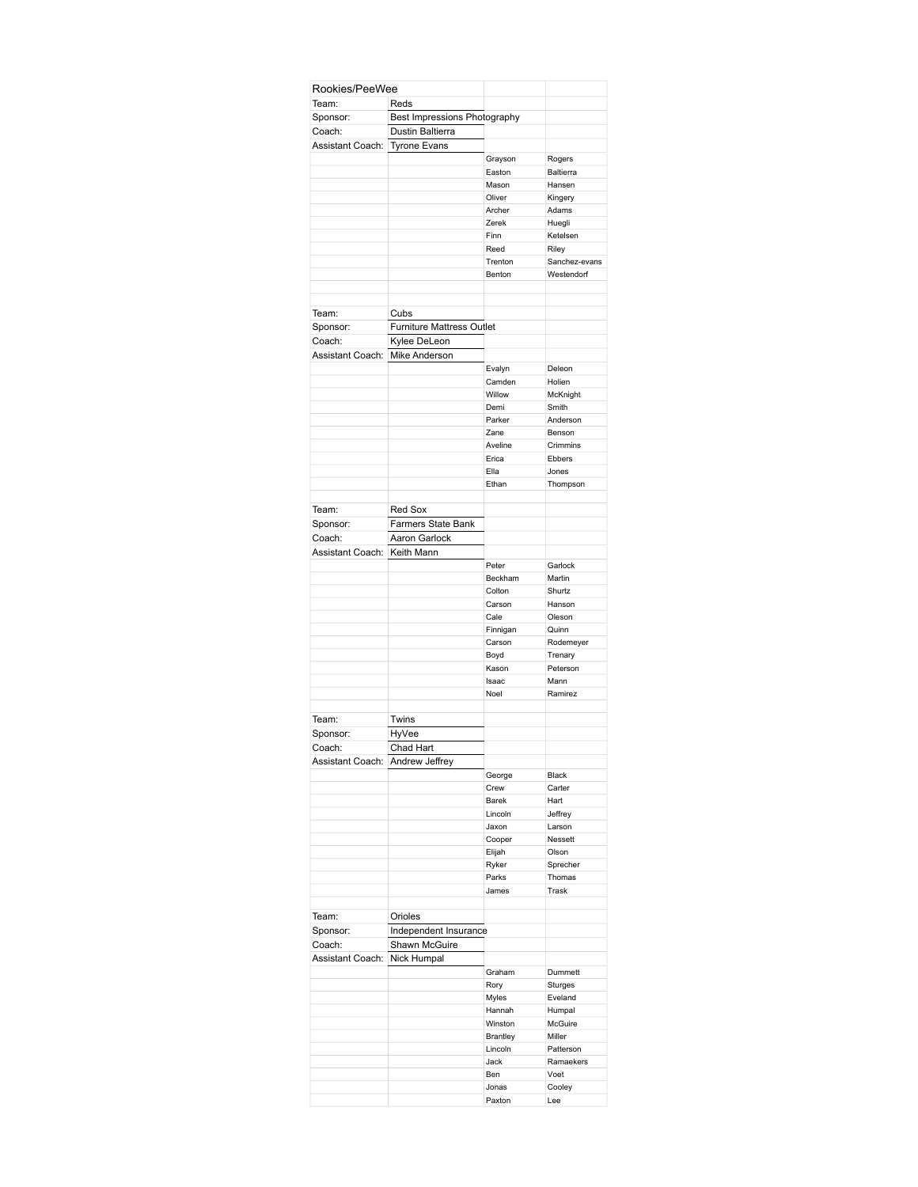| Rookies/PeeWee                  |                                  |                 |               |
|---------------------------------|----------------------------------|-----------------|---------------|
| Team:                           | Reds                             |                 |               |
| Sponsor:                        | Best Impressions Photography     |                 |               |
|                                 | Dustin Baltierra                 |                 |               |
| Coach:                          |                                  |                 |               |
| Assistant Coach:                | <b>Tyrone Evans</b>              |                 |               |
|                                 |                                  | Grayson         | Rogers        |
|                                 |                                  | Easton          | Baltierra     |
|                                 |                                  | Mason           | Hansen        |
|                                 |                                  | Oliver          | Kingery       |
|                                 |                                  | Archer          | Adams         |
|                                 |                                  | Zerek           | Huegli        |
|                                 |                                  | Finn            | Ketelsen      |
|                                 |                                  | Reed            | Riley         |
|                                 |                                  | Trenton         | Sanchez-evans |
|                                 |                                  | Benton          | Westendorf    |
|                                 |                                  |                 |               |
| Team:                           | Cubs                             |                 |               |
| Sponsor:                        | <b>Furniture Mattress Outlet</b> |                 |               |
| Coach:                          | Kylee DeLeon                     |                 |               |
| Assistant Coach: Mike Anderson  |                                  |                 |               |
|                                 |                                  | Evalyn          | Deleon        |
|                                 |                                  | Camden          | Holien        |
|                                 |                                  | Willow          | McKnight      |
|                                 |                                  | Demi            | Smith         |
|                                 |                                  | Parker          | Anderson      |
|                                 |                                  | Zane            | Benson        |
|                                 |                                  | Aveline         | Crimmins      |
|                                 |                                  | Erica           | Ebbers        |
|                                 |                                  |                 |               |
|                                 |                                  | Ella            | Jones         |
|                                 |                                  | Ethan           | Thompson      |
|                                 |                                  |                 |               |
| Team:                           | Red Sox                          |                 |               |
| Sponsor:                        | <b>Farmers State Bank</b>        |                 |               |
| Coach:                          | Aaron Garlock                    |                 |               |
| Assistant Coach:                | Keith Mann                       |                 |               |
|                                 |                                  | Peter           | Garlock       |
|                                 |                                  | Beckham         | Martin        |
|                                 |                                  | Colton          | Shurtz        |
|                                 |                                  |                 |               |
|                                 |                                  | Carson          | Hanson        |
|                                 |                                  | Cale            | Oleson        |
|                                 |                                  | Finnigan        | Quinn         |
|                                 |                                  | Carson          | Rodemeyer     |
|                                 |                                  | Boyd            | Trenary       |
|                                 |                                  | Kason           | Peterson      |
|                                 |                                  | Isaac           | Mann          |
|                                 |                                  | Noel            | Ramirez       |
|                                 |                                  |                 |               |
| Team:                           | Twins                            |                 |               |
|                                 |                                  |                 |               |
| Sponsor:                        | <b>HyVee</b>                     |                 |               |
| Coach:                          | Chad Hart                        |                 |               |
| Assistant Coach: Andrew Jeffrey |                                  |                 |               |
|                                 |                                  | George          | Black         |
|                                 |                                  | Crew            | Carter        |
|                                 |                                  | Barek           | Hart          |
|                                 |                                  | Lincoln         | Jeffrey       |
|                                 |                                  | Jaxon           | Larson        |
|                                 |                                  | Cooper          | Nessett       |
|                                 |                                  | Elijah          | Olson         |
|                                 |                                  | Ryker           | Sprecher      |
|                                 |                                  | Parks           | Thomas        |
|                                 |                                  | James           | Trask         |
|                                 |                                  |                 |               |
| Team:                           | Orioles                          |                 |               |
|                                 |                                  |                 |               |
| Sponsor:                        | Independent Insurance            |                 |               |
| Coach:                          | Shawn McGuire                    |                 |               |
| Assistant Coach:                | Nick Humpal                      |                 |               |
|                                 |                                  | Graham          | Dummett       |
|                                 |                                  | Rory            | Sturges       |
|                                 |                                  | Myles           | Eveland       |
|                                 |                                  | Hannah          | Humpal        |
|                                 |                                  | Winston         | McGuire       |
|                                 |                                  |                 |               |
|                                 |                                  | <b>Brantley</b> | Miller        |
|                                 |                                  | Lincoln         | Patterson     |
|                                 |                                  | Jack            | Ramaekers     |
|                                 |                                  | Ben             | Voet          |
|                                 |                                  | Jonas           | Cooley        |
|                                 |                                  | Paxton          | Lee           |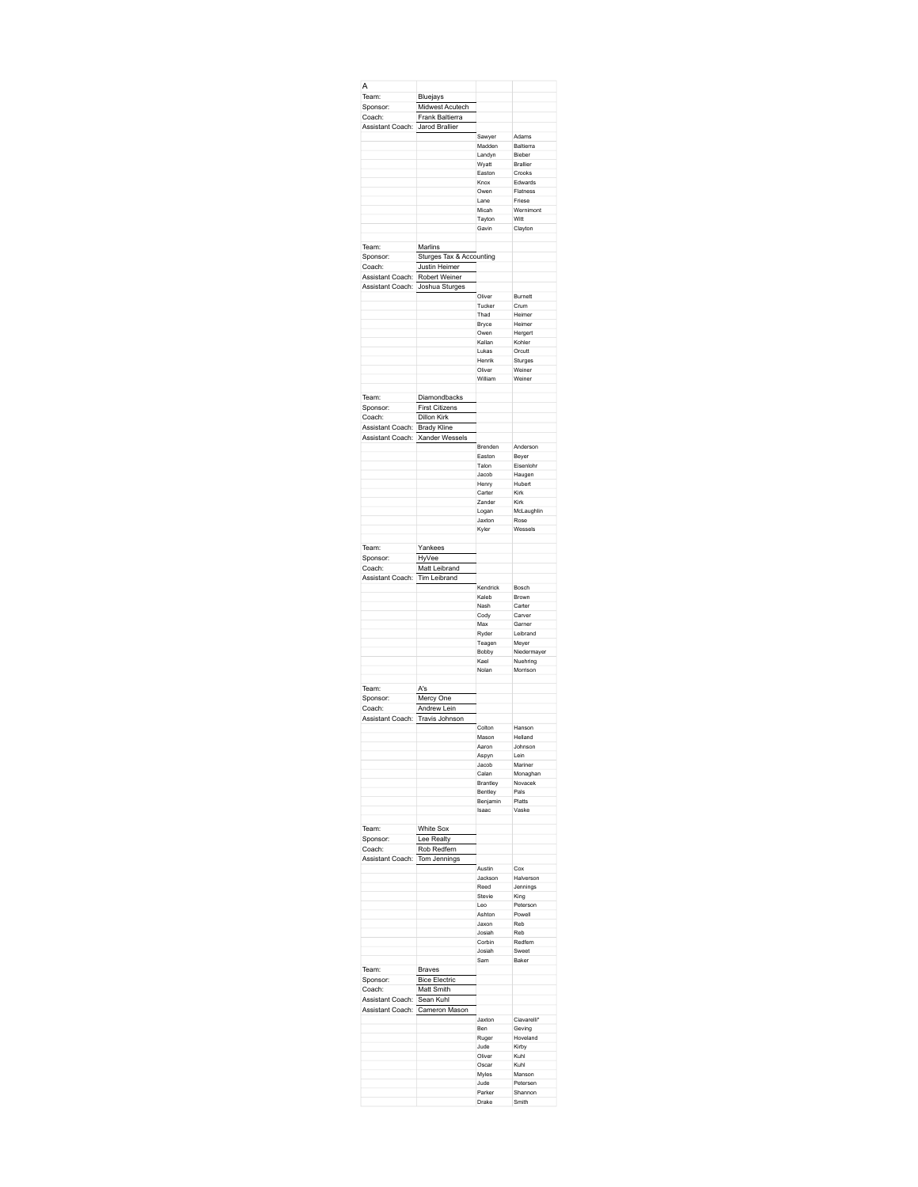| Midwest Acutech<br>Sponsor:<br>Frank Baltierra<br>Coach:<br>Assistant Coach: Jarod Brallier<br>Sawyer<br>Adams<br>Madden<br>Baltierra<br>Landyn<br>Rieber<br>Brallier<br>Wyatt<br>Easton<br>Crooks<br>Knox<br>Edwards<br>Owen<br>Flatness<br>Lane<br>Friese<br>Micah<br>Wernimont<br>Tayton<br>Witt<br>Gavin<br>Clayton<br>Marlins<br>Sturges Tax & Accounting<br>Sponsor:<br><b>Justin Heimer</b><br>Coach:<br>Assistant Coach: Robert Weiner<br>Assistant Coach: Joshua Sturges<br>Oliver<br>Burnett<br>Tucker<br>Crum<br>Heimer<br>Thad<br>Heimer<br>Bryce<br>Owen<br>Hergert<br>Kallan<br>Kohler<br>Lukas<br>Orcutt<br>Henrik<br>Sturges<br>Weiner<br>Oliver<br>William<br>Weiner<br>Diamondbacks<br><b>First Citizens</b><br>Sponsor:<br>Dillon Kirk<br>Coach:<br><b>Brady Kline</b><br>Assistant Coach:<br>Assistant Coach: Xander Wessels<br>Brenden<br>Anderson<br>Easton<br>Beyer<br>Talon<br>Eisenlohr<br>Jacob<br>Haugen<br>Hubert<br>Henry<br>Carter<br>Kirk<br>Zander<br>Kirk<br>McLaughlin<br>Logan<br>Jaxton<br>Rose<br>Wessels<br>Kyler<br>Yankees<br>HyVee<br>Sponsor: |
|-----------------------------------------------------------------------------------------------------------------------------------------------------------------------------------------------------------------------------------------------------------------------------------------------------------------------------------------------------------------------------------------------------------------------------------------------------------------------------------------------------------------------------------------------------------------------------------------------------------------------------------------------------------------------------------------------------------------------------------------------------------------------------------------------------------------------------------------------------------------------------------------------------------------------------------------------------------------------------------------------------------------------------------------------------------------------------------------|
|                                                                                                                                                                                                                                                                                                                                                                                                                                                                                                                                                                                                                                                                                                                                                                                                                                                                                                                                                                                                                                                                                         |
|                                                                                                                                                                                                                                                                                                                                                                                                                                                                                                                                                                                                                                                                                                                                                                                                                                                                                                                                                                                                                                                                                         |
|                                                                                                                                                                                                                                                                                                                                                                                                                                                                                                                                                                                                                                                                                                                                                                                                                                                                                                                                                                                                                                                                                         |
|                                                                                                                                                                                                                                                                                                                                                                                                                                                                                                                                                                                                                                                                                                                                                                                                                                                                                                                                                                                                                                                                                         |
|                                                                                                                                                                                                                                                                                                                                                                                                                                                                                                                                                                                                                                                                                                                                                                                                                                                                                                                                                                                                                                                                                         |
|                                                                                                                                                                                                                                                                                                                                                                                                                                                                                                                                                                                                                                                                                                                                                                                                                                                                                                                                                                                                                                                                                         |
|                                                                                                                                                                                                                                                                                                                                                                                                                                                                                                                                                                                                                                                                                                                                                                                                                                                                                                                                                                                                                                                                                         |
|                                                                                                                                                                                                                                                                                                                                                                                                                                                                                                                                                                                                                                                                                                                                                                                                                                                                                                                                                                                                                                                                                         |
|                                                                                                                                                                                                                                                                                                                                                                                                                                                                                                                                                                                                                                                                                                                                                                                                                                                                                                                                                                                                                                                                                         |
|                                                                                                                                                                                                                                                                                                                                                                                                                                                                                                                                                                                                                                                                                                                                                                                                                                                                                                                                                                                                                                                                                         |
|                                                                                                                                                                                                                                                                                                                                                                                                                                                                                                                                                                                                                                                                                                                                                                                                                                                                                                                                                                                                                                                                                         |
|                                                                                                                                                                                                                                                                                                                                                                                                                                                                                                                                                                                                                                                                                                                                                                                                                                                                                                                                                                                                                                                                                         |
|                                                                                                                                                                                                                                                                                                                                                                                                                                                                                                                                                                                                                                                                                                                                                                                                                                                                                                                                                                                                                                                                                         |
|                                                                                                                                                                                                                                                                                                                                                                                                                                                                                                                                                                                                                                                                                                                                                                                                                                                                                                                                                                                                                                                                                         |
|                                                                                                                                                                                                                                                                                                                                                                                                                                                                                                                                                                                                                                                                                                                                                                                                                                                                                                                                                                                                                                                                                         |
|                                                                                                                                                                                                                                                                                                                                                                                                                                                                                                                                                                                                                                                                                                                                                                                                                                                                                                                                                                                                                                                                                         |
|                                                                                                                                                                                                                                                                                                                                                                                                                                                                                                                                                                                                                                                                                                                                                                                                                                                                                                                                                                                                                                                                                         |
|                                                                                                                                                                                                                                                                                                                                                                                                                                                                                                                                                                                                                                                                                                                                                                                                                                                                                                                                                                                                                                                                                         |
|                                                                                                                                                                                                                                                                                                                                                                                                                                                                                                                                                                                                                                                                                                                                                                                                                                                                                                                                                                                                                                                                                         |
|                                                                                                                                                                                                                                                                                                                                                                                                                                                                                                                                                                                                                                                                                                                                                                                                                                                                                                                                                                                                                                                                                         |
|                                                                                                                                                                                                                                                                                                                                                                                                                                                                                                                                                                                                                                                                                                                                                                                                                                                                                                                                                                                                                                                                                         |
|                                                                                                                                                                                                                                                                                                                                                                                                                                                                                                                                                                                                                                                                                                                                                                                                                                                                                                                                                                                                                                                                                         |
|                                                                                                                                                                                                                                                                                                                                                                                                                                                                                                                                                                                                                                                                                                                                                                                                                                                                                                                                                                                                                                                                                         |
|                                                                                                                                                                                                                                                                                                                                                                                                                                                                                                                                                                                                                                                                                                                                                                                                                                                                                                                                                                                                                                                                                         |
|                                                                                                                                                                                                                                                                                                                                                                                                                                                                                                                                                                                                                                                                                                                                                                                                                                                                                                                                                                                                                                                                                         |
|                                                                                                                                                                                                                                                                                                                                                                                                                                                                                                                                                                                                                                                                                                                                                                                                                                                                                                                                                                                                                                                                                         |
|                                                                                                                                                                                                                                                                                                                                                                                                                                                                                                                                                                                                                                                                                                                                                                                                                                                                                                                                                                                                                                                                                         |
|                                                                                                                                                                                                                                                                                                                                                                                                                                                                                                                                                                                                                                                                                                                                                                                                                                                                                                                                                                                                                                                                                         |
|                                                                                                                                                                                                                                                                                                                                                                                                                                                                                                                                                                                                                                                                                                                                                                                                                                                                                                                                                                                                                                                                                         |
|                                                                                                                                                                                                                                                                                                                                                                                                                                                                                                                                                                                                                                                                                                                                                                                                                                                                                                                                                                                                                                                                                         |
|                                                                                                                                                                                                                                                                                                                                                                                                                                                                                                                                                                                                                                                                                                                                                                                                                                                                                                                                                                                                                                                                                         |
|                                                                                                                                                                                                                                                                                                                                                                                                                                                                                                                                                                                                                                                                                                                                                                                                                                                                                                                                                                                                                                                                                         |
|                                                                                                                                                                                                                                                                                                                                                                                                                                                                                                                                                                                                                                                                                                                                                                                                                                                                                                                                                                                                                                                                                         |
|                                                                                                                                                                                                                                                                                                                                                                                                                                                                                                                                                                                                                                                                                                                                                                                                                                                                                                                                                                                                                                                                                         |
|                                                                                                                                                                                                                                                                                                                                                                                                                                                                                                                                                                                                                                                                                                                                                                                                                                                                                                                                                                                                                                                                                         |
|                                                                                                                                                                                                                                                                                                                                                                                                                                                                                                                                                                                                                                                                                                                                                                                                                                                                                                                                                                                                                                                                                         |
|                                                                                                                                                                                                                                                                                                                                                                                                                                                                                                                                                                                                                                                                                                                                                                                                                                                                                                                                                                                                                                                                                         |
|                                                                                                                                                                                                                                                                                                                                                                                                                                                                                                                                                                                                                                                                                                                                                                                                                                                                                                                                                                                                                                                                                         |
|                                                                                                                                                                                                                                                                                                                                                                                                                                                                                                                                                                                                                                                                                                                                                                                                                                                                                                                                                                                                                                                                                         |
|                                                                                                                                                                                                                                                                                                                                                                                                                                                                                                                                                                                                                                                                                                                                                                                                                                                                                                                                                                                                                                                                                         |
|                                                                                                                                                                                                                                                                                                                                                                                                                                                                                                                                                                                                                                                                                                                                                                                                                                                                                                                                                                                                                                                                                         |
|                                                                                                                                                                                                                                                                                                                                                                                                                                                                                                                                                                                                                                                                                                                                                                                                                                                                                                                                                                                                                                                                                         |
|                                                                                                                                                                                                                                                                                                                                                                                                                                                                                                                                                                                                                                                                                                                                                                                                                                                                                                                                                                                                                                                                                         |
| Coach:                                                                                                                                                                                                                                                                                                                                                                                                                                                                                                                                                                                                                                                                                                                                                                                                                                                                                                                                                                                                                                                                                  |
|                                                                                                                                                                                                                                                                                                                                                                                                                                                                                                                                                                                                                                                                                                                                                                                                                                                                                                                                                                                                                                                                                         |
|                                                                                                                                                                                                                                                                                                                                                                                                                                                                                                                                                                                                                                                                                                                                                                                                                                                                                                                                                                                                                                                                                         |
|                                                                                                                                                                                                                                                                                                                                                                                                                                                                                                                                                                                                                                                                                                                                                                                                                                                                                                                                                                                                                                                                                         |
| Kaleh<br><b>Brown</b>                                                                                                                                                                                                                                                                                                                                                                                                                                                                                                                                                                                                                                                                                                                                                                                                                                                                                                                                                                                                                                                                   |
| Nash<br>Carter                                                                                                                                                                                                                                                                                                                                                                                                                                                                                                                                                                                                                                                                                                                                                                                                                                                                                                                                                                                                                                                                          |
| Cody<br>Carver<br>Max                                                                                                                                                                                                                                                                                                                                                                                                                                                                                                                                                                                                                                                                                                                                                                                                                                                                                                                                                                                                                                                                   |
| Garner<br>Ryder<br>Leibrand                                                                                                                                                                                                                                                                                                                                                                                                                                                                                                                                                                                                                                                                                                                                                                                                                                                                                                                                                                                                                                                             |
| Teagen<br>Meyer                                                                                                                                                                                                                                                                                                                                                                                                                                                                                                                                                                                                                                                                                                                                                                                                                                                                                                                                                                                                                                                                         |
| Bobby<br>Niedermayer                                                                                                                                                                                                                                                                                                                                                                                                                                                                                                                                                                                                                                                                                                                                                                                                                                                                                                                                                                                                                                                                    |
| Kael<br>Nuehring                                                                                                                                                                                                                                                                                                                                                                                                                                                                                                                                                                                                                                                                                                                                                                                                                                                                                                                                                                                                                                                                        |
| Nolan<br>Morrison                                                                                                                                                                                                                                                                                                                                                                                                                                                                                                                                                                                                                                                                                                                                                                                                                                                                                                                                                                                                                                                                       |
|                                                                                                                                                                                                                                                                                                                                                                                                                                                                                                                                                                                                                                                                                                                                                                                                                                                                                                                                                                                                                                                                                         |
| A's                                                                                                                                                                                                                                                                                                                                                                                                                                                                                                                                                                                                                                                                                                                                                                                                                                                                                                                                                                                                                                                                                     |
| Sponsor:<br>Mercy One<br>Coach:                                                                                                                                                                                                                                                                                                                                                                                                                                                                                                                                                                                                                                                                                                                                                                                                                                                                                                                                                                                                                                                         |
| Andrew Lein<br>Travis Johnson<br>Assistant Coach:                                                                                                                                                                                                                                                                                                                                                                                                                                                                                                                                                                                                                                                                                                                                                                                                                                                                                                                                                                                                                                       |
| Colton<br>Hanson                                                                                                                                                                                                                                                                                                                                                                                                                                                                                                                                                                                                                                                                                                                                                                                                                                                                                                                                                                                                                                                                        |
| Helland<br>Mason                                                                                                                                                                                                                                                                                                                                                                                                                                                                                                                                                                                                                                                                                                                                                                                                                                                                                                                                                                                                                                                                        |
| Aaron<br>Johnson                                                                                                                                                                                                                                                                                                                                                                                                                                                                                                                                                                                                                                                                                                                                                                                                                                                                                                                                                                                                                                                                        |
| Lein<br>Aspyn                                                                                                                                                                                                                                                                                                                                                                                                                                                                                                                                                                                                                                                                                                                                                                                                                                                                                                                                                                                                                                                                           |
| Mariner<br>Jacob                                                                                                                                                                                                                                                                                                                                                                                                                                                                                                                                                                                                                                                                                                                                                                                                                                                                                                                                                                                                                                                                        |
| Calan<br>Monaghan<br>Novacek                                                                                                                                                                                                                                                                                                                                                                                                                                                                                                                                                                                                                                                                                                                                                                                                                                                                                                                                                                                                                                                            |
| Brantley<br>Bentley<br>Pals                                                                                                                                                                                                                                                                                                                                                                                                                                                                                                                                                                                                                                                                                                                                                                                                                                                                                                                                                                                                                                                             |
| Benjamin<br>Platts                                                                                                                                                                                                                                                                                                                                                                                                                                                                                                                                                                                                                                                                                                                                                                                                                                                                                                                                                                                                                                                                      |
| Vaske<br>Isaac                                                                                                                                                                                                                                                                                                                                                                                                                                                                                                                                                                                                                                                                                                                                                                                                                                                                                                                                                                                                                                                                          |
|                                                                                                                                                                                                                                                                                                                                                                                                                                                                                                                                                                                                                                                                                                                                                                                                                                                                                                                                                                                                                                                                                         |
| White Sox                                                                                                                                                                                                                                                                                                                                                                                                                                                                                                                                                                                                                                                                                                                                                                                                                                                                                                                                                                                                                                                                               |
| Lee Realty<br>Sponsor:                                                                                                                                                                                                                                                                                                                                                                                                                                                                                                                                                                                                                                                                                                                                                                                                                                                                                                                                                                                                                                                                  |
| Rob Redfern<br>Coach:                                                                                                                                                                                                                                                                                                                                                                                                                                                                                                                                                                                                                                                                                                                                                                                                                                                                                                                                                                                                                                                                   |
| Assistant Coach: Tom Jennings<br>Austin<br>Cox                                                                                                                                                                                                                                                                                                                                                                                                                                                                                                                                                                                                                                                                                                                                                                                                                                                                                                                                                                                                                                          |
| Jackson<br>Halverson                                                                                                                                                                                                                                                                                                                                                                                                                                                                                                                                                                                                                                                                                                                                                                                                                                                                                                                                                                                                                                                                    |
| Reed<br>Jennings                                                                                                                                                                                                                                                                                                                                                                                                                                                                                                                                                                                                                                                                                                                                                                                                                                                                                                                                                                                                                                                                        |
| Stevie<br>King                                                                                                                                                                                                                                                                                                                                                                                                                                                                                                                                                                                                                                                                                                                                                                                                                                                                                                                                                                                                                                                                          |
| Leo<br>Peterson                                                                                                                                                                                                                                                                                                                                                                                                                                                                                                                                                                                                                                                                                                                                                                                                                                                                                                                                                                                                                                                                         |
| Ashton<br>Powell                                                                                                                                                                                                                                                                                                                                                                                                                                                                                                                                                                                                                                                                                                                                                                                                                                                                                                                                                                                                                                                                        |
| Reb<br>Jaxon<br>Josiah<br>Reb                                                                                                                                                                                                                                                                                                                                                                                                                                                                                                                                                                                                                                                                                                                                                                                                                                                                                                                                                                                                                                                           |
| Corbin<br>Redfern                                                                                                                                                                                                                                                                                                                                                                                                                                                                                                                                                                                                                                                                                                                                                                                                                                                                                                                                                                                                                                                                       |
| Josiah<br>Sweet                                                                                                                                                                                                                                                                                                                                                                                                                                                                                                                                                                                                                                                                                                                                                                                                                                                                                                                                                                                                                                                                         |
| Sam<br>Baker                                                                                                                                                                                                                                                                                                                                                                                                                                                                                                                                                                                                                                                                                                                                                                                                                                                                                                                                                                                                                                                                            |
| <b>Braves</b>                                                                                                                                                                                                                                                                                                                                                                                                                                                                                                                                                                                                                                                                                                                                                                                                                                                                                                                                                                                                                                                                           |
| <b>Bice Electric</b><br>Sponsor:                                                                                                                                                                                                                                                                                                                                                                                                                                                                                                                                                                                                                                                                                                                                                                                                                                                                                                                                                                                                                                                        |
| Matt Smith<br>Coach:                                                                                                                                                                                                                                                                                                                                                                                                                                                                                                                                                                                                                                                                                                                                                                                                                                                                                                                                                                                                                                                                    |
| Assistant Coach: Sean Kuhl                                                                                                                                                                                                                                                                                                                                                                                                                                                                                                                                                                                                                                                                                                                                                                                                                                                                                                                                                                                                                                                              |
| Assistant Coach: Cameron Mason                                                                                                                                                                                                                                                                                                                                                                                                                                                                                                                                                                                                                                                                                                                                                                                                                                                                                                                                                                                                                                                          |
| Ciavarelli*<br>Jaxton                                                                                                                                                                                                                                                                                                                                                                                                                                                                                                                                                                                                                                                                                                                                                                                                                                                                                                                                                                                                                                                                   |
| <b>Ben</b><br>Geving                                                                                                                                                                                                                                                                                                                                                                                                                                                                                                                                                                                                                                                                                                                                                                                                                                                                                                                                                                                                                                                                    |
| Hoveland<br>Ruger                                                                                                                                                                                                                                                                                                                                                                                                                                                                                                                                                                                                                                                                                                                                                                                                                                                                                                                                                                                                                                                                       |
| Jude<br>Kirby<br>Kuhl                                                                                                                                                                                                                                                                                                                                                                                                                                                                                                                                                                                                                                                                                                                                                                                                                                                                                                                                                                                                                                                                   |
| Oliver<br>Oscar<br>Kuhl                                                                                                                                                                                                                                                                                                                                                                                                                                                                                                                                                                                                                                                                                                                                                                                                                                                                                                                                                                                                                                                                 |
| Myles<br>Manson                                                                                                                                                                                                                                                                                                                                                                                                                                                                                                                                                                                                                                                                                                                                                                                                                                                                                                                                                                                                                                                                         |
| Jude<br>Petersen<br>Parker<br>Shannon                                                                                                                                                                                                                                                                                                                                                                                                                                                                                                                                                                                                                                                                                                                                                                                                                                                                                                                                                                                                                                                   |
| Assistant Coach: Tim Leibrand<br>Kendrick<br>Bosch                                                                                                                                                                                                                                                                                                                                                                                                                                                                                                                                                                                                                                                                                                                                                                                                                                                                                                                                                                                                                                      |
|                                                                                                                                                                                                                                                                                                                                                                                                                                                                                                                                                                                                                                                                                                                                                                                                                                                                                                                                                                                                                                                                                         |
|                                                                                                                                                                                                                                                                                                                                                                                                                                                                                                                                                                                                                                                                                                                                                                                                                                                                                                                                                                                                                                                                                         |
|                                                                                                                                                                                                                                                                                                                                                                                                                                                                                                                                                                                                                                                                                                                                                                                                                                                                                                                                                                                                                                                                                         |
|                                                                                                                                                                                                                                                                                                                                                                                                                                                                                                                                                                                                                                                                                                                                                                                                                                                                                                                                                                                                                                                                                         |
|                                                                                                                                                                                                                                                                                                                                                                                                                                                                                                                                                                                                                                                                                                                                                                                                                                                                                                                                                                                                                                                                                         |
|                                                                                                                                                                                                                                                                                                                                                                                                                                                                                                                                                                                                                                                                                                                                                                                                                                                                                                                                                                                                                                                                                         |
| Matt Leibrand                                                                                                                                                                                                                                                                                                                                                                                                                                                                                                                                                                                                                                                                                                                                                                                                                                                                                                                                                                                                                                                                           |
|                                                                                                                                                                                                                                                                                                                                                                                                                                                                                                                                                                                                                                                                                                                                                                                                                                                                                                                                                                                                                                                                                         |
|                                                                                                                                                                                                                                                                                                                                                                                                                                                                                                                                                                                                                                                                                                                                                                                                                                                                                                                                                                                                                                                                                         |
|                                                                                                                                                                                                                                                                                                                                                                                                                                                                                                                                                                                                                                                                                                                                                                                                                                                                                                                                                                                                                                                                                         |
|                                                                                                                                                                                                                                                                                                                                                                                                                                                                                                                                                                                                                                                                                                                                                                                                                                                                                                                                                                                                                                                                                         |
|                                                                                                                                                                                                                                                                                                                                                                                                                                                                                                                                                                                                                                                                                                                                                                                                                                                                                                                                                                                                                                                                                         |
|                                                                                                                                                                                                                                                                                                                                                                                                                                                                                                                                                                                                                                                                                                                                                                                                                                                                                                                                                                                                                                                                                         |
|                                                                                                                                                                                                                                                                                                                                                                                                                                                                                                                                                                                                                                                                                                                                                                                                                                                                                                                                                                                                                                                                                         |
|                                                                                                                                                                                                                                                                                                                                                                                                                                                                                                                                                                                                                                                                                                                                                                                                                                                                                                                                                                                                                                                                                         |
|                                                                                                                                                                                                                                                                                                                                                                                                                                                                                                                                                                                                                                                                                                                                                                                                                                                                                                                                                                                                                                                                                         |
|                                                                                                                                                                                                                                                                                                                                                                                                                                                                                                                                                                                                                                                                                                                                                                                                                                                                                                                                                                                                                                                                                         |
|                                                                                                                                                                                                                                                                                                                                                                                                                                                                                                                                                                                                                                                                                                                                                                                                                                                                                                                                                                                                                                                                                         |
|                                                                                                                                                                                                                                                                                                                                                                                                                                                                                                                                                                                                                                                                                                                                                                                                                                                                                                                                                                                                                                                                                         |
|                                                                                                                                                                                                                                                                                                                                                                                                                                                                                                                                                                                                                                                                                                                                                                                                                                                                                                                                                                                                                                                                                         |
|                                                                                                                                                                                                                                                                                                                                                                                                                                                                                                                                                                                                                                                                                                                                                                                                                                                                                                                                                                                                                                                                                         |
|                                                                                                                                                                                                                                                                                                                                                                                                                                                                                                                                                                                                                                                                                                                                                                                                                                                                                                                                                                                                                                                                                         |
|                                                                                                                                                                                                                                                                                                                                                                                                                                                                                                                                                                                                                                                                                                                                                                                                                                                                                                                                                                                                                                                                                         |
|                                                                                                                                                                                                                                                                                                                                                                                                                                                                                                                                                                                                                                                                                                                                                                                                                                                                                                                                                                                                                                                                                         |
|                                                                                                                                                                                                                                                                                                                                                                                                                                                                                                                                                                                                                                                                                                                                                                                                                                                                                                                                                                                                                                                                                         |
|                                                                                                                                                                                                                                                                                                                                                                                                                                                                                                                                                                                                                                                                                                                                                                                                                                                                                                                                                                                                                                                                                         |
|                                                                                                                                                                                                                                                                                                                                                                                                                                                                                                                                                                                                                                                                                                                                                                                                                                                                                                                                                                                                                                                                                         |
|                                                                                                                                                                                                                                                                                                                                                                                                                                                                                                                                                                                                                                                                                                                                                                                                                                                                                                                                                                                                                                                                                         |
|                                                                                                                                                                                                                                                                                                                                                                                                                                                                                                                                                                                                                                                                                                                                                                                                                                                                                                                                                                                                                                                                                         |
|                                                                                                                                                                                                                                                                                                                                                                                                                                                                                                                                                                                                                                                                                                                                                                                                                                                                                                                                                                                                                                                                                         |
|                                                                                                                                                                                                                                                                                                                                                                                                                                                                                                                                                                                                                                                                                                                                                                                                                                                                                                                                                                                                                                                                                         |
|                                                                                                                                                                                                                                                                                                                                                                                                                                                                                                                                                                                                                                                                                                                                                                                                                                                                                                                                                                                                                                                                                         |
|                                                                                                                                                                                                                                                                                                                                                                                                                                                                                                                                                                                                                                                                                                                                                                                                                                                                                                                                                                                                                                                                                         |
|                                                                                                                                                                                                                                                                                                                                                                                                                                                                                                                                                                                                                                                                                                                                                                                                                                                                                                                                                                                                                                                                                         |
|                                                                                                                                                                                                                                                                                                                                                                                                                                                                                                                                                                                                                                                                                                                                                                                                                                                                                                                                                                                                                                                                                         |
|                                                                                                                                                                                                                                                                                                                                                                                                                                                                                                                                                                                                                                                                                                                                                                                                                                                                                                                                                                                                                                                                                         |
|                                                                                                                                                                                                                                                                                                                                                                                                                                                                                                                                                                                                                                                                                                                                                                                                                                                                                                                                                                                                                                                                                         |
|                                                                                                                                                                                                                                                                                                                                                                                                                                                                                                                                                                                                                                                                                                                                                                                                                                                                                                                                                                                                                                                                                         |
|                                                                                                                                                                                                                                                                                                                                                                                                                                                                                                                                                                                                                                                                                                                                                                                                                                                                                                                                                                                                                                                                                         |
|                                                                                                                                                                                                                                                                                                                                                                                                                                                                                                                                                                                                                                                                                                                                                                                                                                                                                                                                                                                                                                                                                         |
|                                                                                                                                                                                                                                                                                                                                                                                                                                                                                                                                                                                                                                                                                                                                                                                                                                                                                                                                                                                                                                                                                         |
|                                                                                                                                                                                                                                                                                                                                                                                                                                                                                                                                                                                                                                                                                                                                                                                                                                                                                                                                                                                                                                                                                         |
|                                                                                                                                                                                                                                                                                                                                                                                                                                                                                                                                                                                                                                                                                                                                                                                                                                                                                                                                                                                                                                                                                         |
|                                                                                                                                                                                                                                                                                                                                                                                                                                                                                                                                                                                                                                                                                                                                                                                                                                                                                                                                                                                                                                                                                         |
|                                                                                                                                                                                                                                                                                                                                                                                                                                                                                                                                                                                                                                                                                                                                                                                                                                                                                                                                                                                                                                                                                         |
|                                                                                                                                                                                                                                                                                                                                                                                                                                                                                                                                                                                                                                                                                                                                                                                                                                                                                                                                                                                                                                                                                         |
|                                                                                                                                                                                                                                                                                                                                                                                                                                                                                                                                                                                                                                                                                                                                                                                                                                                                                                                                                                                                                                                                                         |
|                                                                                                                                                                                                                                                                                                                                                                                                                                                                                                                                                                                                                                                                                                                                                                                                                                                                                                                                                                                                                                                                                         |
|                                                                                                                                                                                                                                                                                                                                                                                                                                                                                                                                                                                                                                                                                                                                                                                                                                                                                                                                                                                                                                                                                         |
|                                                                                                                                                                                                                                                                                                                                                                                                                                                                                                                                                                                                                                                                                                                                                                                                                                                                                                                                                                                                                                                                                         |
|                                                                                                                                                                                                                                                                                                                                                                                                                                                                                                                                                                                                                                                                                                                                                                                                                                                                                                                                                                                                                                                                                         |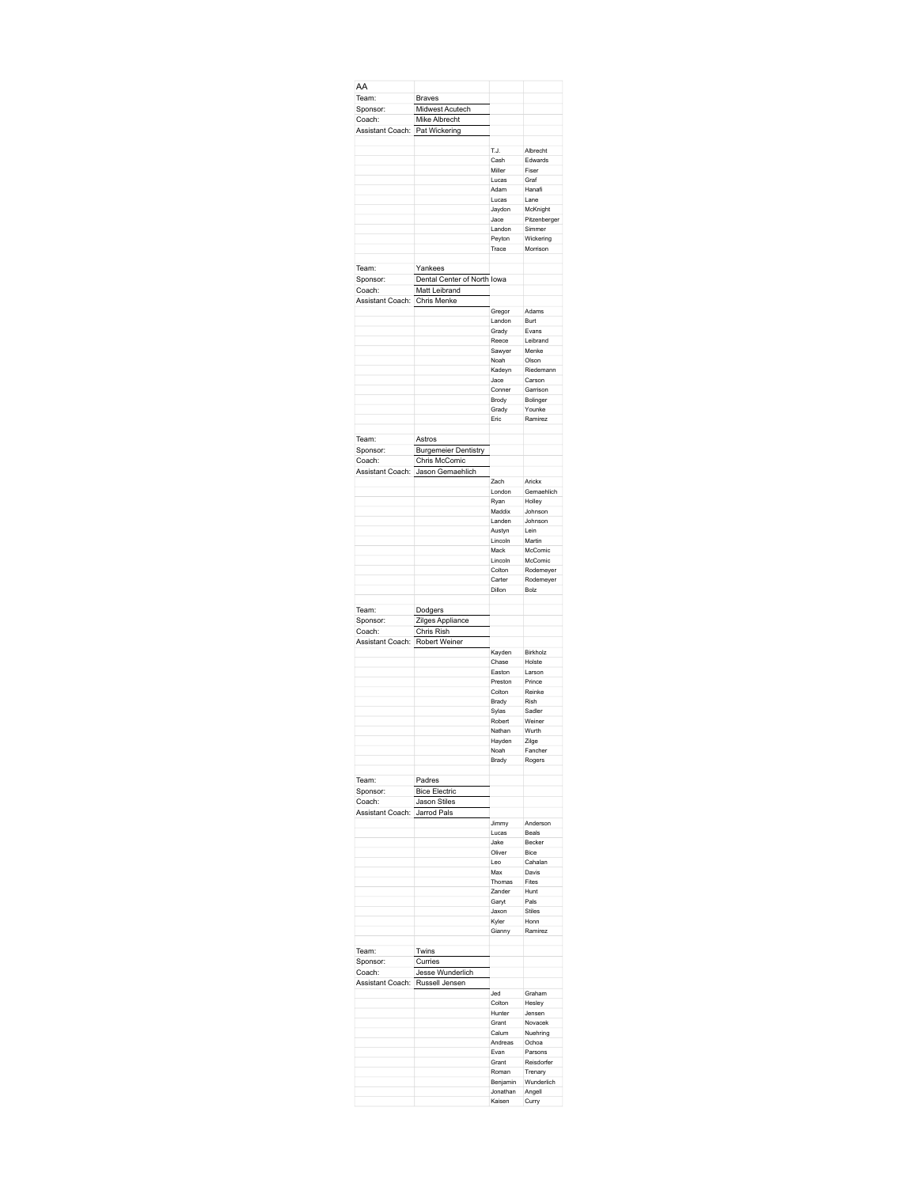| AA                                              |                                       |                    |                       |
|-------------------------------------------------|---------------------------------------|--------------------|-----------------------|
| Team:                                           | <b>Braves</b>                         |                    |                       |
| Sponsor:                                        | Midwest Acutech                       |                    |                       |
| Coach:                                          | Mike Albrecht                         |                    |                       |
| Assistant Coach:                                | Pat Wickering                         |                    |                       |
|                                                 |                                       |                    |                       |
|                                                 |                                       | T.J.               | Albrecht              |
|                                                 |                                       | Cash<br>Miller     | Edwards<br>Fiser      |
|                                                 |                                       | Lucas              | Graf                  |
|                                                 |                                       | Adam               | Hanafi                |
|                                                 |                                       | Lucas              | Lane                  |
|                                                 |                                       | Jaydon             | McKnight              |
|                                                 |                                       | Jace               | Pitzenberger          |
|                                                 |                                       | Landon             | Simmer                |
|                                                 |                                       | Peyton<br>Trace    | Wickering<br>Morrison |
|                                                 |                                       |                    |                       |
| Team:                                           | Yankees                               |                    |                       |
| Sponsor:                                        | Dental Center of North Iowa           |                    |                       |
| Coach:                                          | Matt Leibrand                         |                    |                       |
| Assistant Coach:                                | Chris Menke                           |                    |                       |
|                                                 |                                       | Gregor             | Adams                 |
|                                                 |                                       | Landon             | Burt                  |
|                                                 |                                       | Grady              | Evans                 |
|                                                 |                                       | Reece              | Leibrand              |
|                                                 |                                       | Sawyer<br>Noah     | Menke<br>Olson        |
|                                                 |                                       | Kadeyn             | Riedemann             |
|                                                 |                                       | Jace               | Carson                |
|                                                 |                                       | Conner             | Garrison              |
|                                                 |                                       | Brody              | Bolinger              |
|                                                 |                                       | Grady              | Younke                |
|                                                 |                                       | Eric               | Ramirez               |
|                                                 |                                       |                    |                       |
| Team:<br>Sponsor:                               | Astros<br><b>Burgemeier Dentistry</b> |                    |                       |
| Coach:                                          | Chris McComic                         |                    |                       |
|                                                 | Assistant Coach: Jason Gemaehlich     |                    |                       |
|                                                 |                                       | Zach               | Arickx                |
|                                                 |                                       | London             | Gemaehlich            |
|                                                 |                                       | Ryan               | Holley                |
|                                                 |                                       | Maddix             | Johnson               |
|                                                 |                                       | Landen             | Johnson               |
|                                                 |                                       | Austyn             | Lein                  |
|                                                 |                                       | Lincoln<br>Mack    | Martin<br>McComic     |
|                                                 |                                       | Lincoln            | McComic               |
|                                                 |                                       | Colton             | Rodemeyer             |
|                                                 |                                       | Carter             | Rodemeyer             |
|                                                 |                                       | Dillon             | Bolz                  |
|                                                 |                                       |                    |                       |
| Team:                                           | Dodgers                               |                    |                       |
| Sponsor:                                        | Zilges Appliance                      |                    |                       |
| Coach:                                          | Chris Rish                            |                    |                       |
| Assistant Coach:                                | Robert Weiner                         |                    |                       |
|                                                 |                                       | Kayden             | Birkholz              |
|                                                 |                                       | Chase<br>Easton    | Holste<br>Larson      |
|                                                 |                                       | Preston            | Prince                |
|                                                 |                                       | Colton             | Reinke                |
|                                                 |                                       | Brady              | Rish                  |
|                                                 |                                       |                    |                       |
|                                                 |                                       |                    |                       |
|                                                 |                                       | Sylas<br>Robert    | Sadler<br>Weiner      |
|                                                 |                                       | Nathan             | Wurth                 |
|                                                 |                                       | Hayden             | Zilge                 |
|                                                 |                                       | Noah               | Fancher               |
|                                                 |                                       | Brady              | Rogers                |
|                                                 |                                       |                    |                       |
| Team:                                           | Padres<br><b>Bice Electric</b>        |                    |                       |
| Sponsor:<br>Coach:                              |                                       |                    |                       |
| Assistant Coach:                                | Jason Stiles<br>Jarrod Pals           |                    |                       |
|                                                 |                                       | Jimmy              | Anderson              |
|                                                 |                                       | Lucas              | Beals                 |
|                                                 |                                       | Jake               | Becker                |
|                                                 |                                       | Oliver             | Bice                  |
|                                                 |                                       | Leo                | Cahalan               |
|                                                 |                                       | Max                | Davis                 |
|                                                 |                                       | Thomas<br>Zander   | Fites<br>Hunt         |
|                                                 |                                       | Garyt              | Pals                  |
|                                                 |                                       | Jaxon              | Stiles                |
|                                                 |                                       | Kyler              | Honn                  |
|                                                 |                                       | Gianny             | Ramirez               |
|                                                 |                                       |                    |                       |
|                                                 | Twins                                 |                    |                       |
|                                                 | Curries                               |                    |                       |
|                                                 | Jesse Wunderlich                      |                    |                       |
|                                                 | Russell Jensen                        |                    |                       |
|                                                 |                                       | Jed                | Graham                |
|                                                 |                                       | Colton<br>Hunter   | Hesley<br>Jensen      |
|                                                 |                                       | Grant              | Novacek               |
|                                                 |                                       | Calum              | Nuehring              |
|                                                 |                                       | Andreas            | Ochoa                 |
| Team:<br>Sponsor:<br>Coach:<br>Assistant Coach: |                                       | Evan               | Parsons               |
|                                                 |                                       | Grant              | Reisdorfer            |
|                                                 |                                       | Roman              | Trenary               |
|                                                 |                                       | Benjamin           | Wunderlich            |
|                                                 |                                       | Jonathan<br>Kaisen | Angell<br>Curry       |